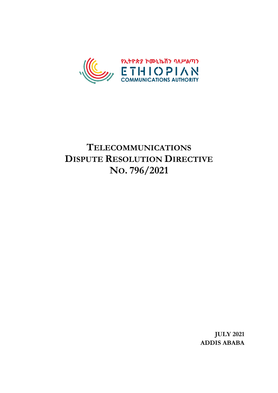

# **TELECOMMUNICATIONS DISPUTE RESOLUTION DIRECTIVE NO. 796/2021**

**JULY 2021 ADDIS ABABA**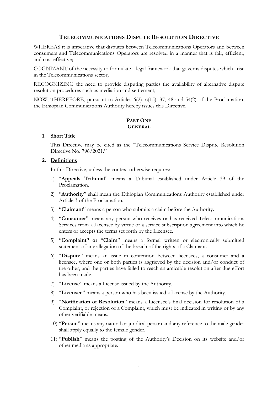## **TELECOMMUNICATIONS DISPUTE RESOLUTION DIRECTIVE**

WHEREAS it is imperative that disputes between Telecommunications Operators and between consumers and Telecommunications Operators are resolved in a manner that is fair, efficient, and cost effective;

COGNIZANT of the necessity to formulate a legal framework that governs disputes which arise in the Telecommunications sector;

RECOGNIZING the need to provide disputing parties the availability of alternative dispute resolution procedures such as mediation and settlement;

NOW, THEREFORE, pursuant to Articles 6(2), 6(15), 37, 48 and 54(2) of the Proclamation, the Ethiopian Communications Authority hereby issues this Directive.

## **PART ONE GENERAL**

## **1. Short Title**

This Directive may be cited as the "Telecommunications Service Dispute Resolution Directive No. 796/2021."

#### **2. Definitions**

In this Directive, unless the context otherwise requires:

- 1) "**Appeals Tribunal**" means a Tribunal established under Article 39 of the Proclamation.
- 2) "**Authority**" shall mean the Ethiopian Communications Authority established under Article 3 of the Proclamation.
- 3) "**Claimant**" means a person who submits a claim before the Authority.
- 4) "**Consumer**" means any person who receives or has received Telecommunications Services from a Licensee by virtue of a service subscription agreement into which he enters or accepts the terms set forth by the Licensee.
- 5) "**Complaint**'**' or** "**Claim**" means a formal written or electronically submitted statement of any allegation of the breach of the rights of a Claimant.
- 6) "**Dispute**" means an issue in contention between licensees, a consumer and a licensee, where one or both parties is aggrieved by the decision and/or conduct of the other, and the parties have failed to reach an amicable resolution after due effort has been made.
- 7) "**License**" means a License issued by the Authority.
- 8) "**Licensee**" means a person who has been issued a License by the Authority.
- 9) "**Notification of Resolution**" means a Licensee's final decision for resolution of a Complaint, or rejection of a Complaint, which must be indicated in writing or by any other verifiable means.
- 10) "**Person**" means any natural or juridical person and any reference to the male gender shall apply equally to the female gender.
- 11) "**Publish**" means the posting of the Authority's Decision on its website and/or other media as appropriate.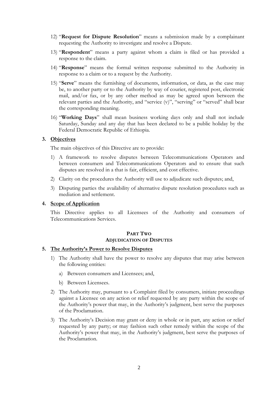- 12) "**Request for Dispute Resolution**" means a submission made by a complainant requesting the Authority to investigate and resolve a Dispute.
- 13) "**Respondent**" means a party against whom a claim is filed or has provided a response to the claim.
- 14) "**Response**" means the formal written response submitted to the Authority in response to a claim or to a request by the Authority.
- 15) "**Serve**" means the furnishing of documents, information, or data, as the case may be, to another party or to the Authority by way of courier, registered post, electronic mail, and/or fax, or by any other method as may be agreed upon between the relevant parties and the Authority, and "service (v)", "serving" or "served" shall bear the corresponding meaning.
- 16) "**Working Days**" shall mean business working days only and shall not include Saturday, Sunday and any day that has been declared to be a public holiday by the Federal Democratic Republic of Ethiopia.

#### **3. Objectives**

The main objectives of this Directive are to provide:

- 1) A framework to resolve disputes between Telecommunications Operators and between consumers and Telecommunications Operators and to ensure that such disputes are resolved in a that is fair, efficient, and cost effective.
- 2) Clarity on the procedures the Authority will use to adjudicate such disputes; and,
- 3) Disputing parties the availability of alternative dispute resolution procedures such as mediation and settlement.

#### **4. Scope of Application**

This Directive applies to all Licensees of the Authority and consumers of Telecommunications Services.

#### **PART TWO ADJUDICATION OF DISPUTES**

#### **5. The Authority's Power to Resolve Disputes**

- 1) The Authority shall have the power to resolve any disputes that may arise between the following entities:
	- a) Between consumers and Licensees; and,
	- b) Between Licensees.
- 2) The Authority may, pursuant to a Complaint filed by consumers, initiate proceedings against a Licensee on any action or relief requested by any party within the scope of the Authority's power that may, in the Authority's judgment, best serve the purposes of the Proclamation.
- 3) The Authority's Decision may grant or deny in whole or in part, any action or relief requested by any party; or may fashion such other remedy within the scope of the Authority's power that may, in the Authority's judgment, best serve the purposes of the Proclamation.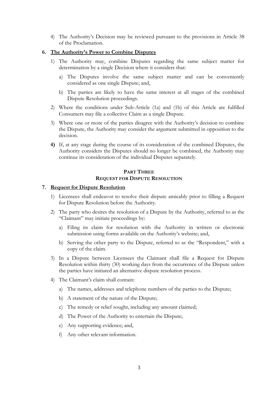4) The Authority's Decision may be reviewed pursuant to the provisions in Article 38 of the Proclamation.

#### **6. The Authority's Power to Combine Disputes**

- 1) The Authority may, combine Disputes regarding the same subject matter for determination by a single Decision where it considers that:
	- a) The Disputes involve the same subject matter and can be conveniently considered as one single Dispute; and,
	- b) The parties are likely to have the same interest at all stages of the combined Dispute Resolution proceedings.
- 2) Where the conditions under Sub-Article (1a) and (1b) of this Article are fulfilled Consumers may file a collective Claim as a single Dispute.
- 3) Where one or more of the parties disagree with the Authority's decision to combine the Dispute, the Authority may consider the argument submitted in opposition to the decision.
- **4)** If, at any stage during the course of its consideration of the combined Disputes, the Authority considers the Disputes should no longer be combined, the Authority may continue its consideration of the individual Disputes separately.

## **PART THREE REQUEST FOR DISPUTE RESOLUTION**

#### **7. Request for Dispute Resolution**

- 1) Licensees shall endeavor to resolve their dispute amicably prior to filling a Request for Dispute Resolution before the Authority.
- 2) The party who desires the resolution of a Dispute by the Authority, referred to as the "Claimant" may initiate proceedings by:
	- a) Filing its claim for resolution with the Authority in written or electronic submission using forms available on the Authority's website; and,
	- b) Serving the other party to the Dispute, referred to as the "Respondent," with a copy of the claim.
- 3) In a Dispute between Licensees the Claimant shall file a Request for Dispute Resolution within thirty (30) working days from the occurrence of the Dispute unless the parties have initiated an alternative dispute resolution process.
- 4) The Claimant's claim shall contain:
	- a) The names, addresses and telephone numbers of the parties to the Dispute;
	- b) A statement of the nature of the Dispute;
	- c) The remedy or relief sought, including any amount claimed;
	- d) The Power of the Authority to entertain the Dispute;
	- e) Any supporting evidence; and,
	- f) Any other relevant information.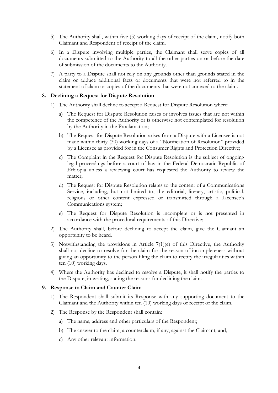- 5) The Authority shall, within five (5) working days of receipt of the claim, notify both Claimant and Respondent of receipt of the claim.
- 6) In a Dispute involving multiple parties, the Claimant shall serve copies of all documents submitted to the Authority to all the other parties on or before the date of submission of the documents to the Authority.
- 7) A party to a Dispute shall not rely on any grounds other than grounds stated in the claim or adduce additional facts or documents that were not referred to in the statement of claim or copies of the documents that were not annexed to the claim.

#### **8. Declining a Request for Dispute Resolution**

- 1) The Authority shall decline to accept a Request for Dispute Resolution where:
	- a) The Request for Dispute Resolution raises or involves issues that are not within the competence of the Authority or is otherwise not contemplated for resolution by the Authority in the Proclamation;
	- b) The Request for Dispute Resolution arises from a Dispute with a Licensee is not made within thirty (30) working days of a "Notification of Resolution" provided by a Licensee as provided for in the Consumer Rights and Protection Directive;
	- c) The Complaint in the Request for Dispute Resolution is the subject of ongoing legal proceedings before a court of law in the Federal Democratic Republic of Ethiopia unless a reviewing court has requested the Authority to review the matter;
	- d) The Request for Dispute Resolution relates to the content of a Communications Service, including, but not limited to, the editorial, literary, artistic, political, religious or other content expressed or transmitted through a Licensee's Communications system;
	- e) The Request for Dispute Resolution is incomplete or is not presented in accordance with the procedural requirements of this Directive;
- 2) The Authority shall, before declining to accept the claim, give the Claimant an opportunity to be heard.
- 3) Notwithstanding the provisions in Article 7(1)(e) of this Directive, the Authority shall not decline to resolve for the claim for the reason of incompleteness without giving an opportunity to the person filing the claim to rectify the irregularities within ten (10) working days.
- 4) Where the Authority has declined to resolve a Dispute, it shall notify the parties to the Dispute, in writing, stating the reasons for declining the claim.

#### **9. Response to Claim and Counter Claim**

- 1) The Respondent shall submit its Response with any supporting document to the Claimant and the Authority within ten (10) working days of receipt of the claim.
- 2) The Response by the Respondent shall contain:
	- a) The name, address and other particulars of the Respondent;
	- b) The answer to the claim, a counterclaim, if any, against the Claimant; and,
	- c) Any other relevant information.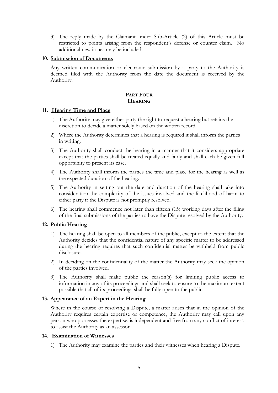3) The reply made by the Claimant under Sub-Article (2) of this Article must be restricted to points arising from the respondent's defense or counter claim. No additional new issues may be included.

#### **10. Submission of Documents**

Any written communication or electronic submission by a party to the Authority is deemed filed with the Authority from the date the document is received by the Authority.

## **PART FOUR HEARING**

## **11. Hearing Time and Place**

- 1) The Authority may give either party the right to request a hearing but retains the discretion to decide a matter solely based on the written record.
- 2) Where the Authority determines that a hearing is required it shall inform the parties in writing.
- 3) The Authority shall conduct the hearing in a manner that it considers appropriate except that the parties shall be treated equally and fairly and shall each be given full opportunity to present its case.
- 4) The Authority shall inform the parties the time and place for the hearing as well as the expected duration of the hearing.
- 5) The Authority in setting out the date and duration of the hearing shall take into consideration the complexity of the issues involved and the likelihood of harm to either party if the Dispute is not promptly resolved.
- 6) The hearing shall commence not later than fifteen (15) working days after the filing of the final submissions of the parties to have the Dispute resolved by the Authority.

## **12. Public Hearing**

- 1) The hearing shall be open to all members of the public, except to the extent that the Authority decides that the confidential nature of any specific matter to be addressed during the hearing requires that such confidential matter be withheld from public disclosure.
- 2) In deciding on the confidentiality of the matter the Authority may seek the opinion of the parties involved.
- 3) The Authority shall make public the reason(s) for limiting public access to information in any of its proceedings and shall seek to ensure to the maximum extent possible that all of its proceedings shall be fully open to the public.

#### **13. Appearance of an Expert in the Hearing**

Where in the course of resolving a Dispute, a matter arises that in the opinion of the Authority requires certain expertise or competence, the Authority may call upon any person who possesses the expertise, is independent and free from any conflict of interest, to assist the Authority as an assessor.

#### **14. Examination of Witnesses**

1) The Authority may examine the parties and their witnesses when hearing a Dispute.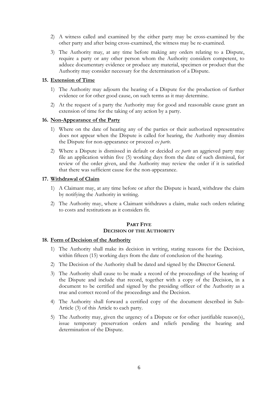- 2) A witness called and examined by the either party may be cross-examined by the other party and after being cross-examined, the witness may be re-examined.
- 3) The Authority may, at any time before making any orders relating to a Dispute, require a party or any other person whom the Authority considers competent, to adduce documentary evidence or produce any material, specimen or product that the Authority may consider necessary for the determination of a Dispute.

### **15. Extension of Time**

- 1) The Authority may adjourn the hearing of a Dispute for the production of further evidence or for other good cause, on such terms as it may determine.
- 2) At the request of a party the Authority may for good and reasonable cause grant an extension of time for the taking of any action by a party.

#### **16. Non-Appearance of the Party**

- 1) Where on the date of hearing any of the parties or their authorized representative does not appear when the Dispute is called for hearing, the Authority may dismiss the Dispute for non-appearance or proceed *ex parte*.
- 2) Where a Dispute is dismissed in default or decided *ex parte* an aggrieved party may file an application within five (5) working days from the date of such dismissal, for review of the order given, and the Authority may review the order if it is satisfied that there was sufficient cause for the non-appearance.

#### **17. Withdrawal of Claim**

- 1) A Claimant may, at any time before or after the Dispute is heard, withdraw the claim by notifying the Authority in writing.
- 2) The Authority may, where a Claimant withdraws a claim, make such orders relating to costs and restitutions as it considers fit.

#### **PART FIVE DECISION OF THE AUTHORITY**

#### **18. Form of Decision of the Authority**

- 1) The Authority shall make its decision in writing, stating reasons for the Decision, within fifteen (15) working days from the date of conclusion of the hearing.
- 2) The Decision of the Authority shall be dated and signed by the Director General.
- 3) The Authority shall cause to be made a record of the proceedings of the hearing of the Dispute and include that record, together with a copy of the Decision, in a document to be certified and signed by the presiding officer of the Authority as a true and correct record of the proceedings and the Decision.
- 4) The Authority shall forward a certified copy of the document described in Sub-Article (3) of this Article to each party.
- 5) The Authority may, given the urgency of a Dispute or for other justifiable reason(s), issue temporary preservation orders and reliefs pending the hearing and determination of the Dispute.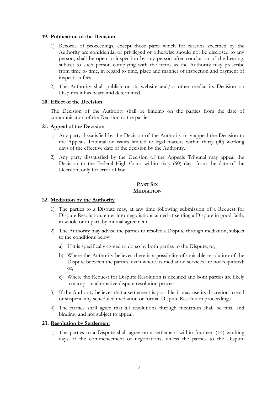#### **19. Publication of the Decision**

- 1) Records of proceedings, except those parts which for reasons specified by the Authority are confidential or privileged or otherwise should not be disclosed to any person, shall be open to inspection by any person after conclusion of the hearing, subject to such person complying with the terms as the Authority may prescribe from time to time, in regard to time, place and manner of inspection and payment of inspection fees.
- 2) The Authority shall publish on its website and/or other media, its Decision on Disputes it has heard and determined.

## **20. Effect of the Decision**

The Decision of the Authority shall be binding on the parties from the date of communication of the Decision to the parties.

#### **21. Appeal of the Decision**

- 1) Any party dissatisfied by the Decision of the Authority may appeal the Decision to the Appeals Tribunal on issues limited to legal matters within thirty (30) working days of the effective date of the decision by the Authority.
- 2) Any party dissatisfied by the Decision of the Appeals Tribunal may appeal the Decision to the Federal High Court within sixty (60) days from the date of the Decision, only for error of law.

#### **PART SIX MEDIATION**

#### **22. Mediation by the Authority**

- 1) The parties to a Dispute may, at any time following submission of a Request for Dispute Resolution, enter into negotiations aimed at settling a Dispute in good faith, in whole or in part, by mutual agreement.
- 2) The Authority may advise the parties to resolve a Dispute through mediation, subject to the conditions below:
	- a) If it is specifically agreed to do so by both parties to the Dispute; or,
	- b) Where the Authority believes there is a possibility of amicable resolution of the Dispute between the parties, even where its mediation services are not requested; or,
	- c) Where the Request for Dispute Resolution is declined and both parties are likely to accept an alternative dispute resolution process.
- 3) If the Authority believes that a settlement is possible, it may use its discretion to end or suspend any scheduled mediation or formal Dispute Resolution proceedings.
- 4) The parties shall agree that all resolutions through mediation shall be final and binding, and not subject to appeal.

#### **23. Resolution by Settlement**

1) The parties to a Dispute shall agree on a settlement within fourteen (14) working days of the commencement of negotiations, unless the parties to the Dispute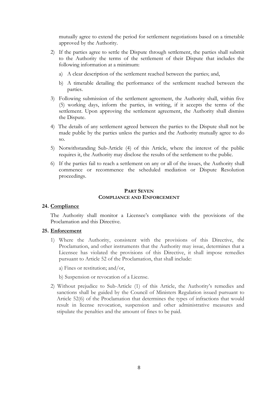mutually agree to extend the period for settlement negotiations based on a timetable approved by the Authority.

- 2) If the parties agree to settle the Dispute through settlement, the parties shall submit to the Authority the terms of the settlement of their Dispute that includes the following information at a minimum:
	- a) A clear description of the settlement reached between the parties; and,
	- b) A timetable detailing the performance of the settlement reached between the parties.
- 3) Following submission of the settlement agreement, the Authority shall, within five (5) working days, inform the parties, in writing, if it accepts the terms of the settlement. Upon approving the settlement agreement, the Authority shall dismiss the Dispute.
- 4) The details of any settlement agreed between the parties to the Dispute shall not be made public by the parties unless the parties and the Authority mutually agree to do so.
- 5) Notwithstanding Sub-Article (4) of this Article, where the interest of the public requires it, the Authority may disclose the results of the settlement to the public.
- 6) If the parties fail to reach a settlement on any or all of the issues, the Authority shall commence or recommence the scheduled mediation or Dispute Resolution proceedings.

#### **PART SEVEN COMPLIANCE AND ENFORCEMENT**

#### **24. Compliance**

The Authority shall monitor a Licensee's compliance with the provisions of the Proclamation and this Directive.

#### **25. Enforcement**

- 1) Where the Authority, consistent with the provisions of this Directive, the Proclamation, and other instruments that the Authority may issue, determines that a Licensee has violated the provisions of this Directive, it shall impose remedies pursuant to Article 52 of the Proclamation, that shall include:
	- a) Fines or restitution; and/or,
	- b) Suspension or revocation of a License.
- 2) Without prejudice to Sub-Article (1) of this Article, the Authority's remedies and sanctions shall be guided by the Council of Ministers Regulation issued pursuant to Article 52(6) of the Proclamation that determines the types of infractions that would result in license revocation, suspension and other administrative measures and stipulate the penalties and the amount of fines to be paid.